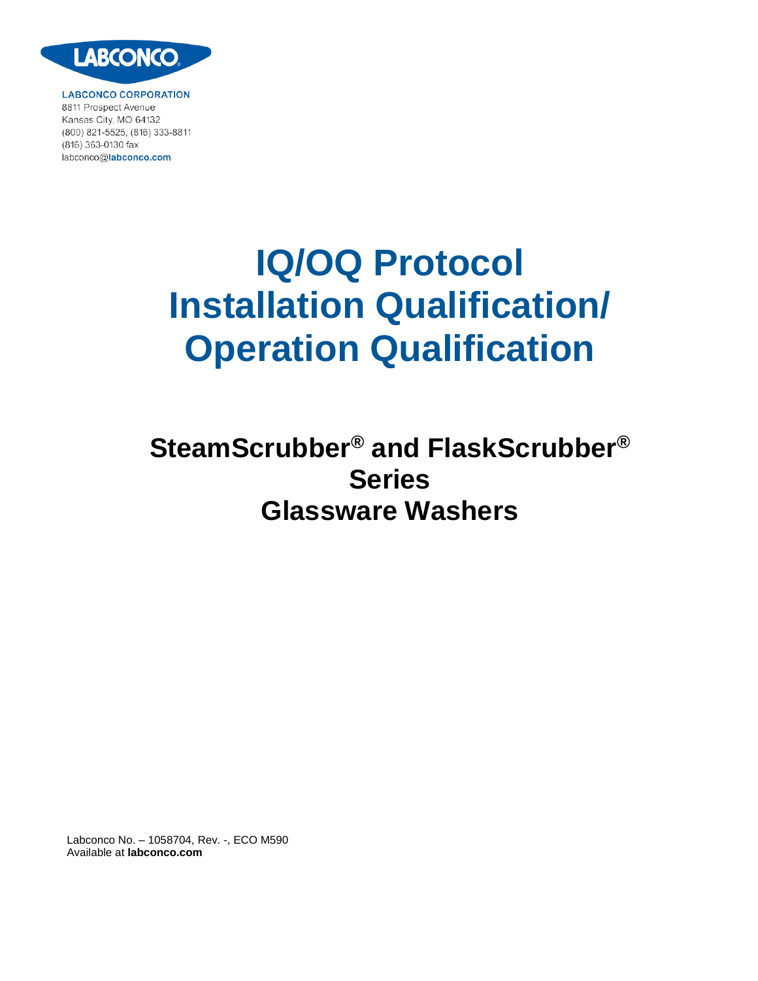

**LABCONCO CORPORATION** 8811 Prospect Avenue Kansas City, MO 64132 (800) 821-5525, (816) 333-8811 (816) 363-0130 fax labconco@labconco.com

# **IQ/OQ Protocol Installation Qualification/ Operation Qualification**

# **SteamScrubber® and FlaskScrubber® Series Glassware Washers**

Labconco No. – 1058704, Rev. -, ECO M590 Available at **labconco.com**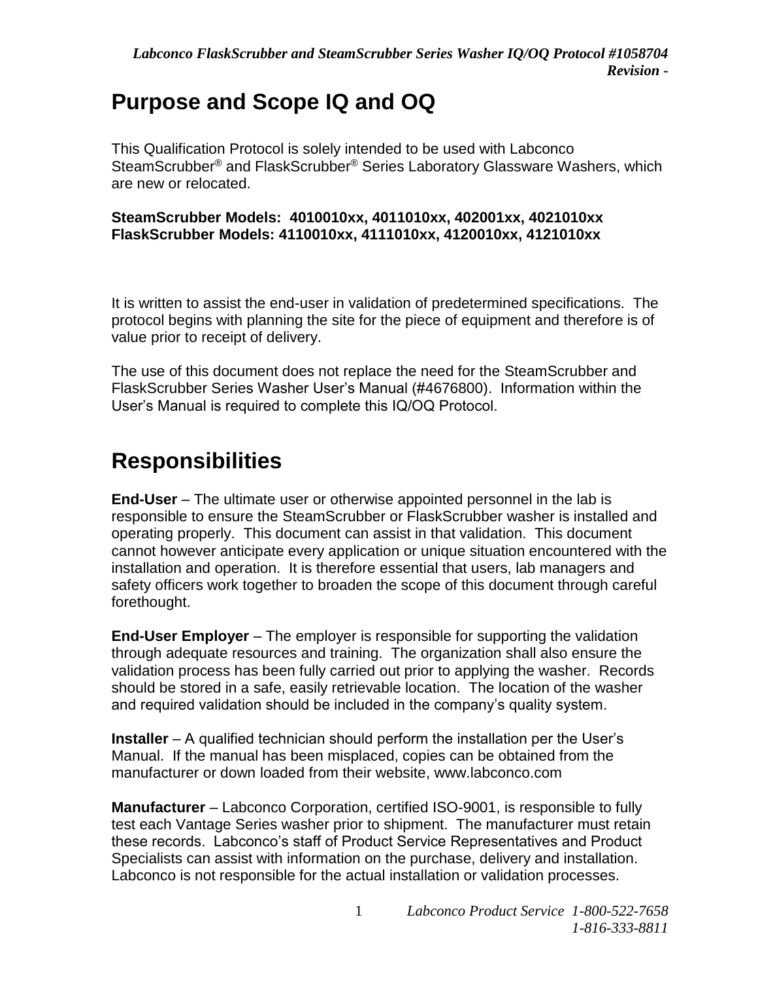### **Purpose and Scope IQ and OQ**

This Qualification Protocol is solely intended to be used with Labconco SteamScrubber® and FlaskScrubber® Series Laboratory Glassware Washers, which are new or relocated.

#### **SteamScrubber Models: 4010010xx, 4011010xx, 402001xx, 4021010xx FlaskScrubber Models: 4110010xx, 4111010xx, 4120010xx, 4121010xx**

It is written to assist the end-user in validation of predetermined specifications. The protocol begins with planning the site for the piece of equipment and therefore is of value prior to receipt of delivery.

The use of this document does not replace the need for the SteamScrubber and FlaskScrubber Series Washer User's Manual (#4676800). Information within the User's Manual is required to complete this IQ/OQ Protocol.

### **Responsibilities**

**End-User** – The ultimate user or otherwise appointed personnel in the lab is responsible to ensure the SteamScrubber or FlaskScrubber washer is installed and operating properly. This document can assist in that validation. This document cannot however anticipate every application or unique situation encountered with the installation and operation. It is therefore essential that users, lab managers and safety officers work together to broaden the scope of this document through careful forethought.

**End-User Employer** – The employer is responsible for supporting the validation through adequate resources and training. The organization shall also ensure the validation process has been fully carried out prior to applying the washer. Records should be stored in a safe, easily retrievable location. The location of the washer and required validation should be included in the company's quality system.

**Installer** – A qualified technician should perform the installation per the User's Manual. If the manual has been misplaced, copies can be obtained from the manufacturer or down loaded from their website, www.labconco.com

**Manufacturer** – Labconco Corporation, certified ISO-9001, is responsible to fully test each Vantage Series washer prior to shipment. The manufacturer must retain these records. Labconco's staff of Product Service Representatives and Product Specialists can assist with information on the purchase, delivery and installation. Labconco is not responsible for the actual installation or validation processes.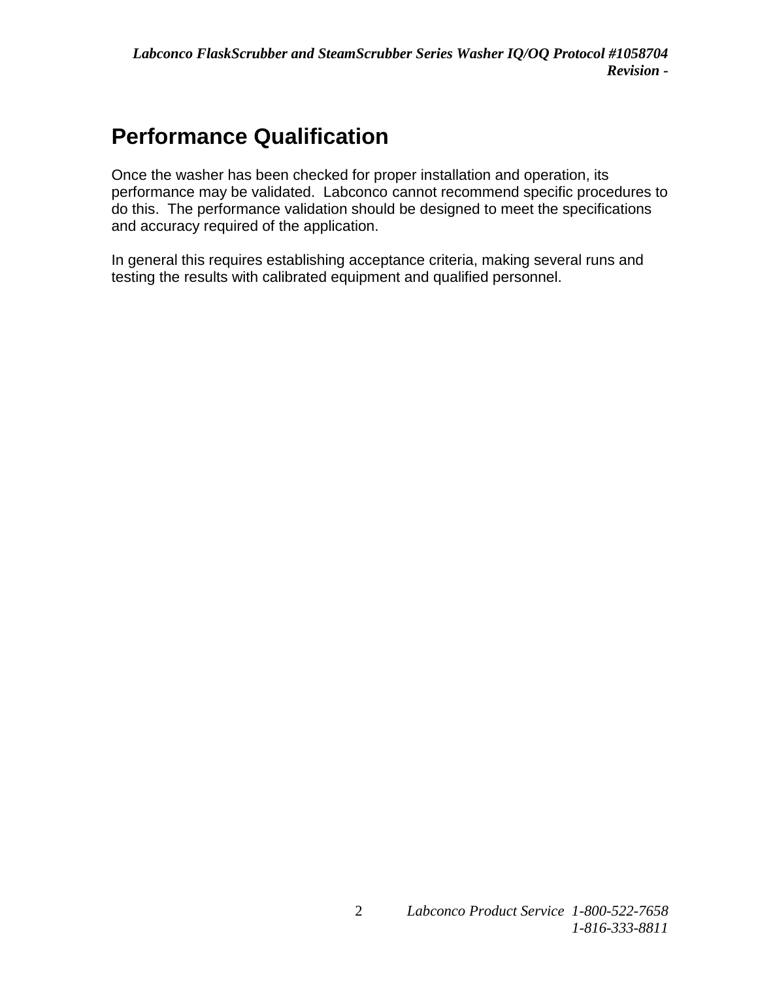## **Performance Qualification**

Once the washer has been checked for proper installation and operation, its performance may be validated. Labconco cannot recommend specific procedures to do this. The performance validation should be designed to meet the specifications and accuracy required of the application.

In general this requires establishing acceptance criteria, making several runs and testing the results with calibrated equipment and qualified personnel.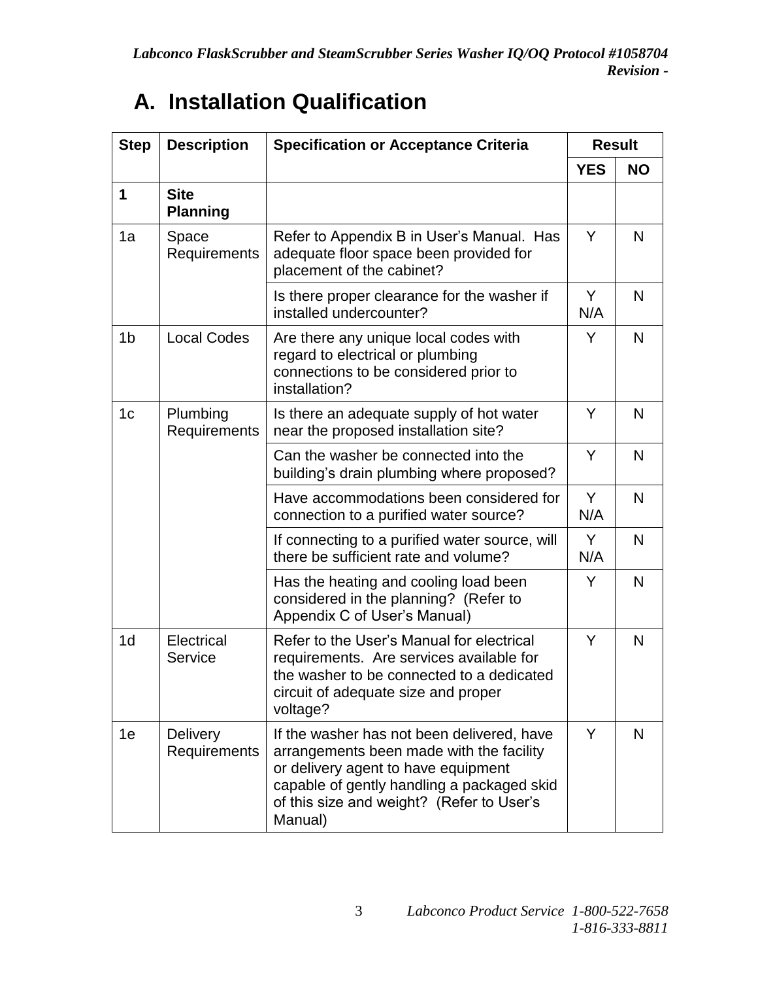| <b>Step</b>    | <b>Description</b>              | <b>Specification or Acceptance Criteria</b>                                                                                                                                                                                         |            | <b>Result</b> |
|----------------|---------------------------------|-------------------------------------------------------------------------------------------------------------------------------------------------------------------------------------------------------------------------------------|------------|---------------|
|                |                                 |                                                                                                                                                                                                                                     | <b>YES</b> | <b>NO</b>     |
| $\mathbf 1$    | <b>Site</b><br><b>Planning</b>  |                                                                                                                                                                                                                                     |            |               |
| 1a             | Space<br>Requirements           | Refer to Appendix B in User's Manual. Has<br>adequate floor space been provided for<br>placement of the cabinet?                                                                                                                    | Y          | N             |
|                |                                 | Is there proper clearance for the washer if<br>installed undercounter?                                                                                                                                                              | Y<br>N/A   | N             |
| 1 <sub>b</sub> | <b>Local Codes</b>              | Are there any unique local codes with<br>regard to electrical or plumbing<br>connections to be considered prior to<br>installation?                                                                                                 | Y          | N             |
| 1 <sub>c</sub> | Plumbing<br>Requirements        | Is there an adequate supply of hot water<br>near the proposed installation site?                                                                                                                                                    | Y          | N             |
|                |                                 | Can the washer be connected into the<br>building's drain plumbing where proposed?                                                                                                                                                   | Y          | N             |
|                |                                 | Have accommodations been considered for<br>connection to a purified water source?                                                                                                                                                   | Y<br>N/A   | N             |
|                |                                 | If connecting to a purified water source, will<br>there be sufficient rate and volume?                                                                                                                                              | Y<br>N/A   | N             |
|                |                                 | Has the heating and cooling load been<br>considered in the planning? (Refer to<br>Appendix C of User's Manual)                                                                                                                      | Y          | N             |
| 1 <sub>d</sub> | Electrical<br>Service           | Refer to the User's Manual for electrical<br>requirements. Are services available for<br>the washer to be connected to a dedicated<br>circuit of adequate size and proper<br>voltage?                                               | Y          | N             |
| 1e             | <b>Delivery</b><br>Requirements | If the washer has not been delivered, have<br>arrangements been made with the facility<br>or delivery agent to have equipment<br>capable of gently handling a packaged skid<br>of this size and weight? (Refer to User's<br>Manual) | Y          | N             |

# **A. Installation Qualification**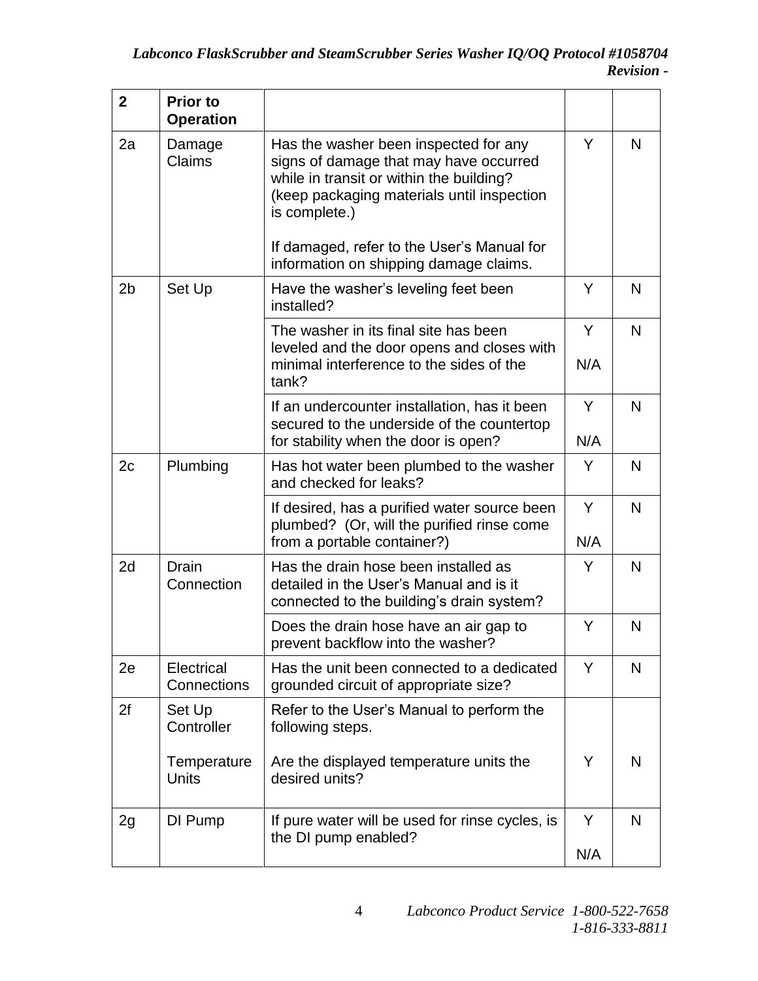| $\overline{2}$ | <b>Prior to</b><br><b>Operation</b> |                                                                                                                                                                                            |          |   |
|----------------|-------------------------------------|--------------------------------------------------------------------------------------------------------------------------------------------------------------------------------------------|----------|---|
| 2a             | Damage<br>Claims                    | Has the washer been inspected for any<br>signs of damage that may have occurred<br>while in transit or within the building?<br>(keep packaging materials until inspection<br>is complete.) | Y        | N |
|                |                                     | If damaged, refer to the User's Manual for<br>information on shipping damage claims.                                                                                                       |          |   |
| 2 <sub>b</sub> | Set Up                              | Have the washer's leveling feet been<br>installed?                                                                                                                                         | Y        | N |
|                |                                     | The washer in its final site has been<br>leveled and the door opens and closes with<br>minimal interference to the sides of the<br>tank?                                                   | Y<br>N/A | N |
|                |                                     | If an undercounter installation, has it been<br>secured to the underside of the countertop<br>for stability when the door is open?                                                         | Y<br>N/A | N |
| 2c             | Plumbing                            | Has hot water been plumbed to the washer<br>and checked for leaks?                                                                                                                         | Y        | N |
|                |                                     | If desired, has a purified water source been<br>plumbed? (Or, will the purified rinse come<br>from a portable container?)                                                                  | Y<br>N/A | N |
| 2d             | <b>Drain</b><br>Connection          | Has the drain hose been installed as<br>detailed in the User's Manual and is it<br>connected to the building's drain system?                                                               | Y        | N |
|                |                                     | Does the drain hose have an air gap to<br>prevent backflow into the washer?                                                                                                                | Y        | N |
| 2e             | Electrical<br>Connections           | Has the unit been connected to a dedicated<br>grounded circuit of appropriate size?                                                                                                        | Y        | N |
| 2f             | Set Up<br>Controller                | Refer to the User's Manual to perform the<br>following steps.                                                                                                                              |          |   |
|                | Temperature<br><b>Units</b>         | Are the displayed temperature units the<br>desired units?                                                                                                                                  | Y        | N |
| 2g             | DI Pump                             | If pure water will be used for rinse cycles, is<br>the DI pump enabled?                                                                                                                    | Y        | N |
|                |                                     |                                                                                                                                                                                            | N/A      |   |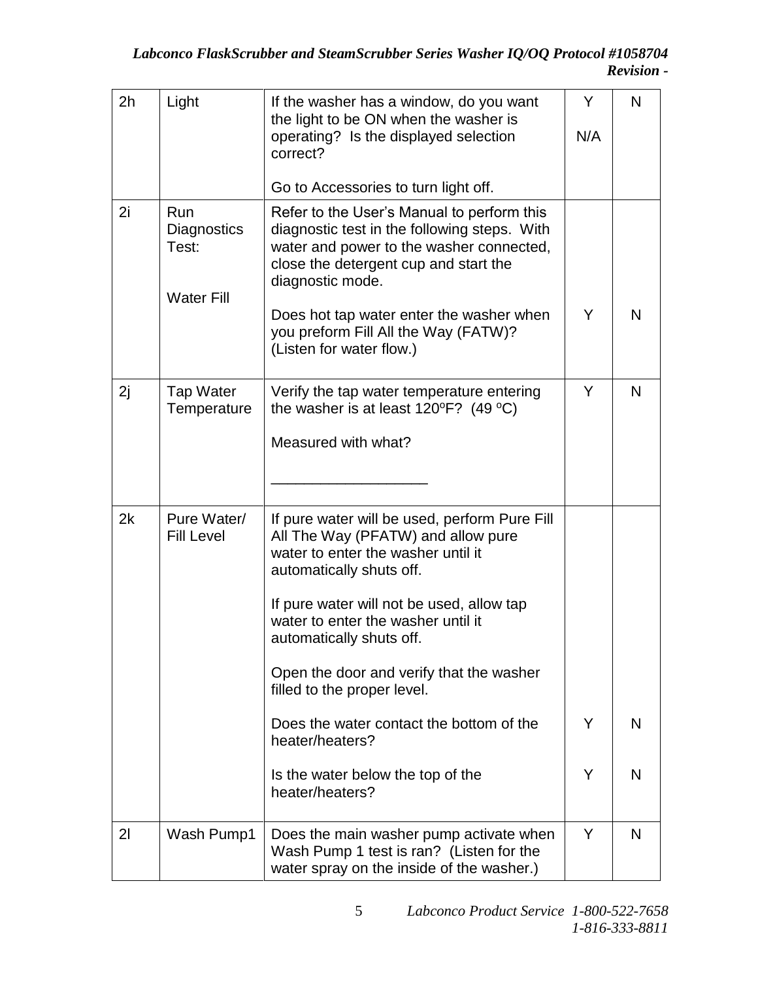| 2h             | Light                                            | If the washer has a window, do you want<br>the light to be ON when the washer is<br>operating? Is the displayed selection<br>correct?<br>Go to Accessories to turn light off.                                                                                                                                                                                                               | Y<br>N/A | N |
|----------------|--------------------------------------------------|---------------------------------------------------------------------------------------------------------------------------------------------------------------------------------------------------------------------------------------------------------------------------------------------------------------------------------------------------------------------------------------------|----------|---|
| 2i             | Run<br>Diagnostics<br>Test:<br><b>Water Fill</b> | Refer to the User's Manual to perform this<br>diagnostic test in the following steps. With<br>water and power to the washer connected,<br>close the detergent cup and start the<br>diagnostic mode.<br>Does hot tap water enter the washer when                                                                                                                                             | Y        | N |
|                |                                                  | you preform Fill All the Way (FATW)?<br>(Listen for water flow.)                                                                                                                                                                                                                                                                                                                            |          |   |
| 2j             | <b>Tap Water</b><br>Temperature                  | Verify the tap water temperature entering<br>the washer is at least $120^{\circ}F$ ? (49 °C)<br>Measured with what?                                                                                                                                                                                                                                                                         | Y        | N |
| 2k             | Pure Water/<br><b>Fill Level</b>                 | If pure water will be used, perform Pure Fill<br>All The Way (PFATW) and allow pure<br>water to enter the washer until it<br>automatically shuts off.<br>If pure water will not be used, allow tap<br>water to enter the washer until it<br>automatically shuts off.<br>Open the door and verify that the washer<br>filled to the proper level.<br>Does the water contact the bottom of the | Y        | N |
|                |                                                  | heater/heaters?<br>Is the water below the top of the<br>heater/heaters?                                                                                                                                                                                                                                                                                                                     | Y        | N |
| 2 <sup>1</sup> | Wash Pump1                                       | Does the main washer pump activate when<br>Wash Pump 1 test is ran? (Listen for the<br>water spray on the inside of the washer.)                                                                                                                                                                                                                                                            | Y        | N |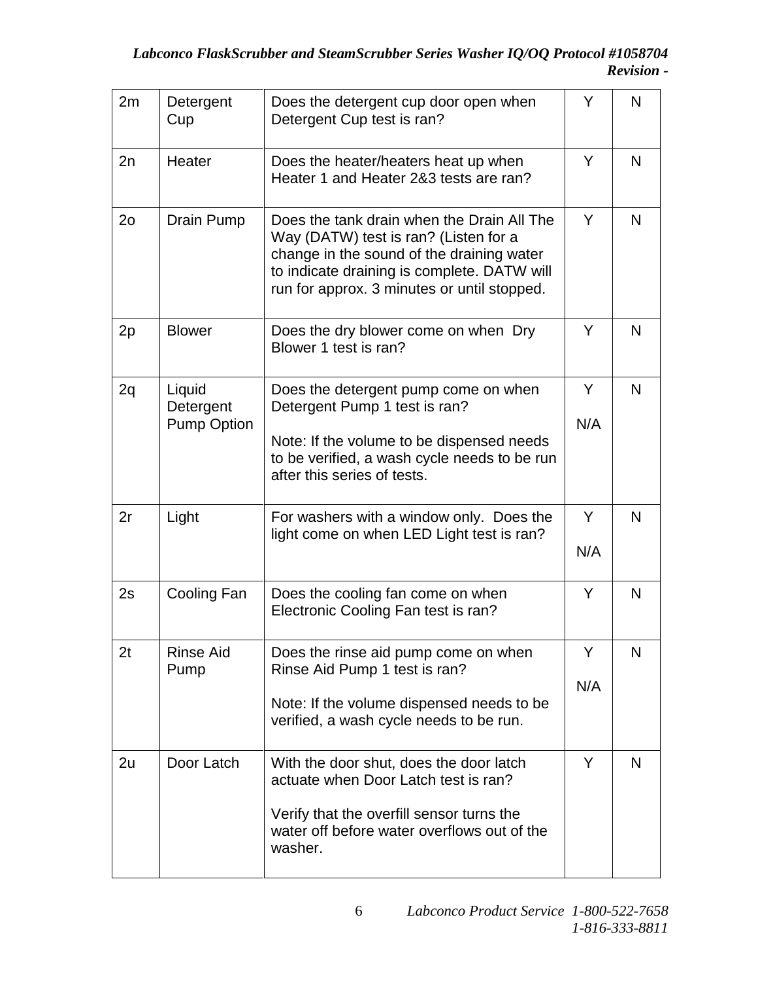| 2m             | Detergent<br>Cup                          | Does the detergent cup door open when<br>Detergent Cup test is ran?                                                                                                                                                            | Y        |   |
|----------------|-------------------------------------------|--------------------------------------------------------------------------------------------------------------------------------------------------------------------------------------------------------------------------------|----------|---|
| 2n             | Heater                                    | Does the heater/heaters heat up when<br>Heater 1 and Heater 2&3 tests are ran?                                                                                                                                                 | Y        | N |
| 2 <sub>o</sub> | Drain Pump                                | Does the tank drain when the Drain All The<br>Way (DATW) test is ran? (Listen for a<br>change in the sound of the draining water<br>to indicate draining is complete. DATW will<br>run for approx. 3 minutes or until stopped. | Y        | N |
| 2p             | <b>Blower</b>                             | Does the dry blower come on when Dry<br>Blower 1 test is ran?                                                                                                                                                                  | Y        | N |
| 2q             | Liquid<br>Detergent<br><b>Pump Option</b> | Does the detergent pump come on when<br>Detergent Pump 1 test is ran?<br>Note: If the volume to be dispensed needs<br>to be verified, a wash cycle needs to be run<br>after this series of tests.                              | Y<br>N/A | N |
| 2r             | Light                                     | For washers with a window only. Does the<br>light come on when LED Light test is ran?                                                                                                                                          | Y<br>N/A | N |
| 2s             | Cooling Fan                               | Does the cooling fan come on when<br>Electronic Cooling Fan test is ran?                                                                                                                                                       | Y        | N |
| 2t             | <b>Rinse Aid</b><br>Pump                  | Does the rinse aid pump come on when<br>Rinse Aid Pump 1 test is ran?<br>Note: If the volume dispensed needs to be<br>verified, a wash cycle needs to be run.                                                                  | Y<br>N/A | N |
| 2u             | Door Latch                                | With the door shut, does the door latch<br>actuate when Door Latch test is ran?<br>Verify that the overfill sensor turns the<br>water off before water overflows out of the<br>washer.                                         | Y        | N |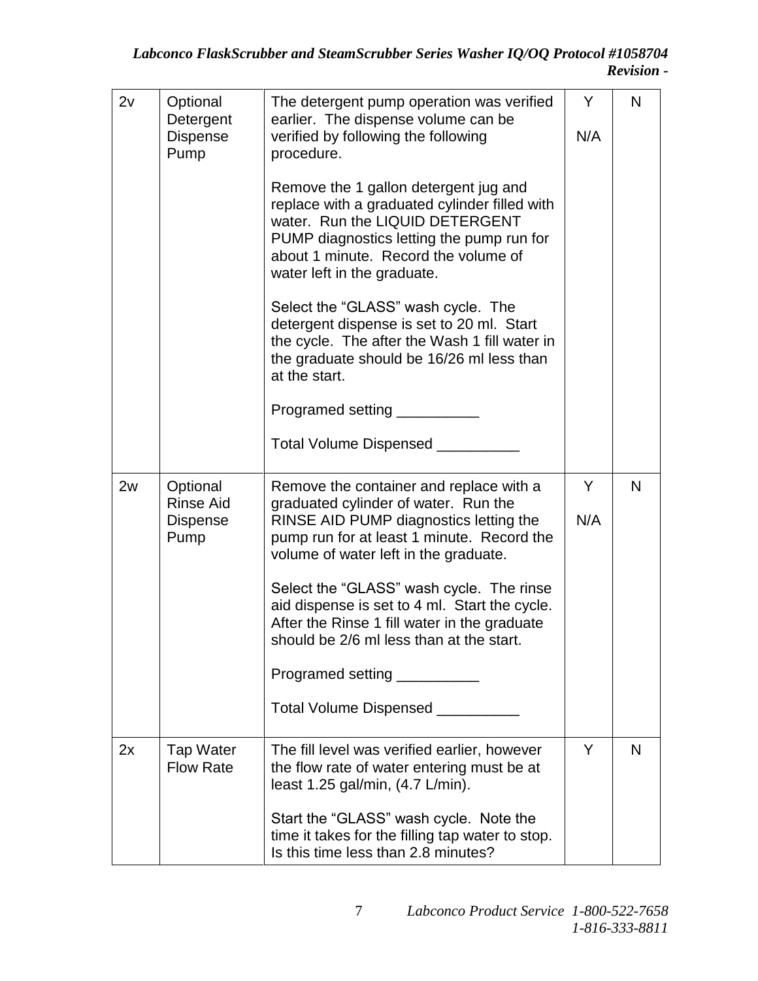| 2v | Optional<br>Detergent<br>Dispense<br>Pump        | The detergent pump operation was verified<br>earlier. The dispense volume can be<br>verified by following the following<br>procedure.                                                                                                         | Y<br>N/A | N |
|----|--------------------------------------------------|-----------------------------------------------------------------------------------------------------------------------------------------------------------------------------------------------------------------------------------------------|----------|---|
|    |                                                  | Remove the 1 gallon detergent jug and<br>replace with a graduated cylinder filled with<br>water. Run the LIQUID DETERGENT<br>PUMP diagnostics letting the pump run for<br>about 1 minute. Record the volume of<br>water left in the graduate. |          |   |
|    |                                                  | Select the "GLASS" wash cycle. The<br>detergent dispense is set to 20 ml. Start<br>the cycle. The after the Wash 1 fill water in<br>the graduate should be 16/26 ml less than<br>at the start.                                                |          |   |
|    |                                                  | Programed setting ________                                                                                                                                                                                                                    |          |   |
|    |                                                  | Total Volume Dispensed _                                                                                                                                                                                                                      |          |   |
| 2w | Optional<br><b>Rinse Aid</b><br>Dispense<br>Pump | Remove the container and replace with a<br>graduated cylinder of water. Run the<br>RINSE AID PUMP diagnostics letting the<br>pump run for at least 1 minute. Record the<br>volume of water left in the graduate.                              | Y<br>N/A | N |
|    |                                                  | Select the "GLASS" wash cycle. The rinse<br>aid dispense is set to 4 ml. Start the cycle.<br>After the Rinse 1 fill water in the graduate<br>should be 2/6 ml less than at the start.                                                         |          |   |
|    |                                                  | Programed setting                                                                                                                                                                                                                             |          |   |
|    |                                                  | Total Volume Dispensed _________                                                                                                                                                                                                              |          |   |
| 2x | <b>Tap Water</b><br><b>Flow Rate</b>             | The fill level was verified earlier, however<br>the flow rate of water entering must be at<br>least 1.25 gal/min, (4.7 L/min).                                                                                                                | Y        | N |
|    |                                                  | Start the "GLASS" wash cycle. Note the<br>time it takes for the filling tap water to stop.<br>Is this time less than 2.8 minutes?                                                                                                             |          |   |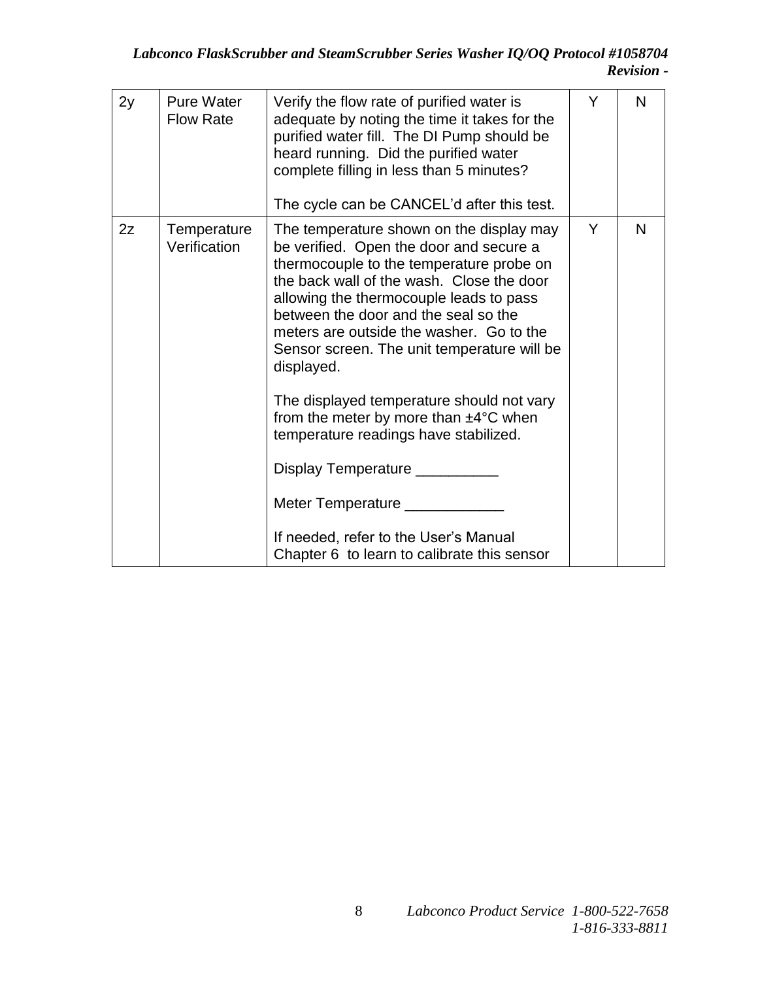| 2y | <b>Pure Water</b><br><b>Flow Rate</b> | Verify the flow rate of purified water is<br>adequate by noting the time it takes for the<br>purified water fill. The DI Pump should be<br>heard running. Did the purified water<br>complete filling in less than 5 minutes?<br>The cycle can be CANCEL'd after this test.                                                                                                                                                                                                                                                                                                                                                                                                       | Y | N |
|----|---------------------------------------|----------------------------------------------------------------------------------------------------------------------------------------------------------------------------------------------------------------------------------------------------------------------------------------------------------------------------------------------------------------------------------------------------------------------------------------------------------------------------------------------------------------------------------------------------------------------------------------------------------------------------------------------------------------------------------|---|---|
| 2z | Temperature<br>Verification           | The temperature shown on the display may<br>be verified. Open the door and secure a<br>thermocouple to the temperature probe on<br>the back wall of the wash. Close the door<br>allowing the thermocouple leads to pass<br>between the door and the seal so the<br>meters are outside the washer. Go to the<br>Sensor screen. The unit temperature will be<br>displayed.<br>The displayed temperature should not vary<br>from the meter by more than $\pm 4^{\circ}$ C when<br>temperature readings have stabilized.<br>Display Temperature _________<br>Meter Temperature _____________<br>If needed, refer to the User's Manual<br>Chapter 6 to learn to calibrate this sensor | Y | N |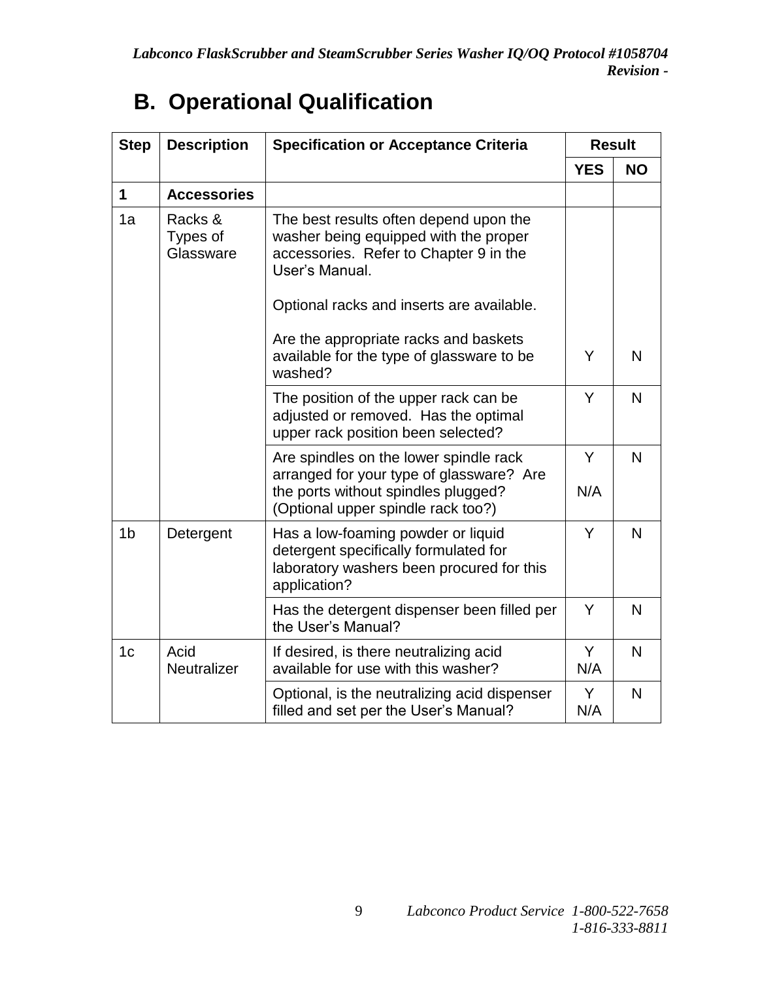| <b>Step</b>    | <b>Description</b>               | <b>Specification or Acceptance Criteria</b>                                                                                                 |            | <b>Result</b> |
|----------------|----------------------------------|---------------------------------------------------------------------------------------------------------------------------------------------|------------|---------------|
|                |                                  |                                                                                                                                             | <b>YES</b> | <b>NO</b>     |
| $\mathbf 1$    | <b>Accessories</b>               |                                                                                                                                             |            |               |
| 1a             | Racks &<br>Types of<br>Glassware | The best results often depend upon the<br>washer being equipped with the proper<br>accessories. Refer to Chapter 9 in the<br>User's Manual. |            |               |
|                |                                  | Optional racks and inserts are available.                                                                                                   |            |               |
|                |                                  | Are the appropriate racks and baskets<br>available for the type of glassware to be<br>washed?                                               | Y          | N             |
|                |                                  | The position of the upper rack can be<br>adjusted or removed. Has the optimal<br>upper rack position been selected?                         | Y          | N             |
|                |                                  | Are spindles on the lower spindle rack<br>arranged for your type of glassware? Are<br>the ports without spindles plugged?                   | Y<br>N/A   | N             |
|                |                                  | (Optional upper spindle rack too?)                                                                                                          |            |               |
| 1 <sub>b</sub> | Detergent                        | Has a low-foaming powder or liquid<br>detergent specifically formulated for<br>laboratory washers been procured for this<br>application?    | Y          | N             |
|                |                                  | Has the detergent dispenser been filled per<br>the User's Manual?                                                                           | Y          | N             |
| 1 <sub>c</sub> | Acid<br>Neutralizer              | If desired, is there neutralizing acid<br>available for use with this washer?                                                               | Y<br>N/A   | N             |
|                |                                  | Optional, is the neutralizing acid dispenser<br>filled and set per the User's Manual?                                                       | Y<br>N/A   | N             |

# **B. Operational Qualification**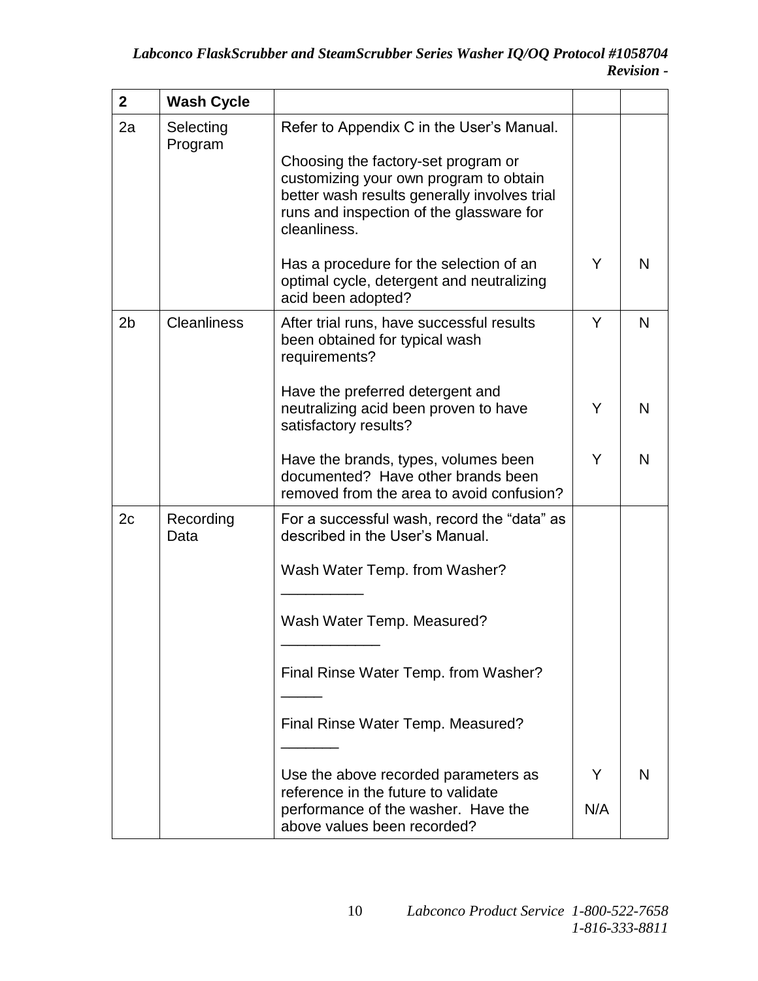| $\mathbf 2$ | <b>Wash Cycle</b>    |                                                                                                                                                                                                                                                                                                                                |     |   |
|-------------|----------------------|--------------------------------------------------------------------------------------------------------------------------------------------------------------------------------------------------------------------------------------------------------------------------------------------------------------------------------|-----|---|
| 2a          | Selecting<br>Program | Refer to Appendix C in the User's Manual.<br>Choosing the factory-set program or<br>customizing your own program to obtain<br>better wash results generally involves trial<br>runs and inspection of the glassware for<br>cleanliness.<br>Has a procedure for the selection of an<br>optimal cycle, detergent and neutralizing | Y   | N |
|             |                      | acid been adopted?                                                                                                                                                                                                                                                                                                             |     |   |
| 2b          | <b>Cleanliness</b>   | After trial runs, have successful results<br>been obtained for typical wash<br>requirements?                                                                                                                                                                                                                                   | Y   | N |
|             |                      | Have the preferred detergent and<br>neutralizing acid been proven to have<br>satisfactory results?                                                                                                                                                                                                                             | Y   | N |
|             |                      | Have the brands, types, volumes been<br>documented? Have other brands been<br>removed from the area to avoid confusion?                                                                                                                                                                                                        | Y   | N |
| 2c          | Recording<br>Data    | For a successful wash, record the "data" as<br>described in the User's Manual.                                                                                                                                                                                                                                                 |     |   |
|             |                      | Wash Water Temp. from Washer?                                                                                                                                                                                                                                                                                                  |     |   |
|             |                      | Wash Water Temp. Measured?                                                                                                                                                                                                                                                                                                     |     |   |
|             |                      | Final Rinse Water Temp. from Washer?                                                                                                                                                                                                                                                                                           |     |   |
|             |                      | Final Rinse Water Temp. Measured?                                                                                                                                                                                                                                                                                              |     |   |
|             |                      | Use the above recorded parameters as<br>reference in the future to validate                                                                                                                                                                                                                                                    | Y   | N |
|             |                      | performance of the washer. Have the<br>above values been recorded?                                                                                                                                                                                                                                                             | N/A |   |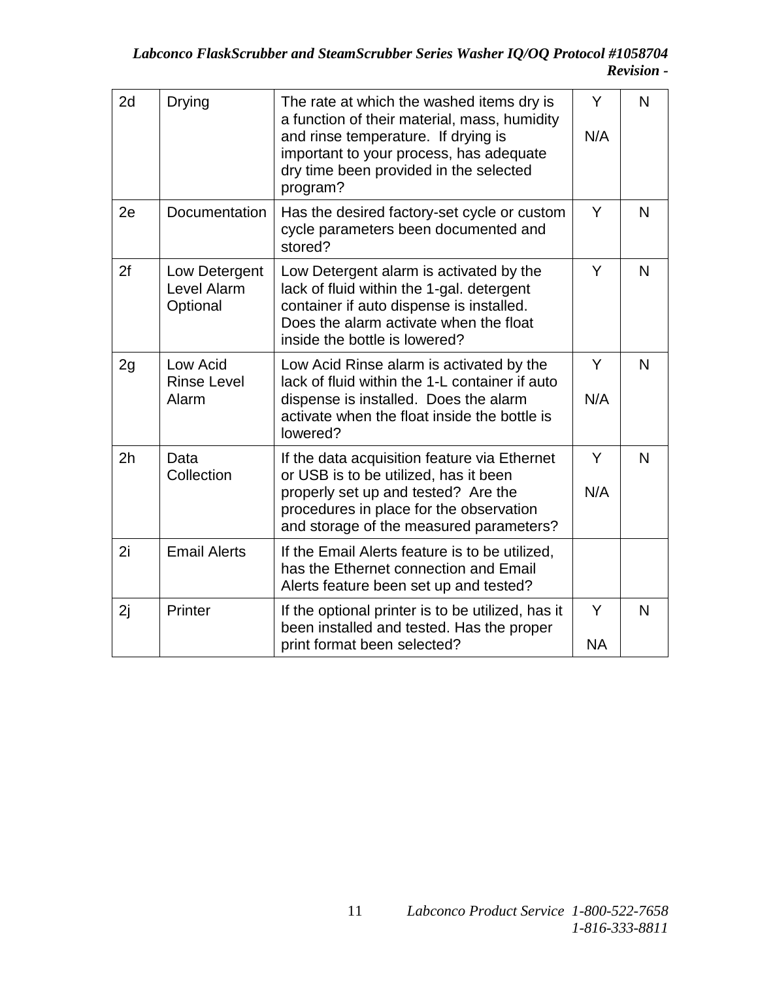| 2d             | <b>Drying</b>                            | The rate at which the washed items dry is<br>a function of their material, mass, humidity<br>and rinse temperature. If drying is<br>important to your process, has adequate<br>dry time been provided in the selected<br>program? | Y<br>N/A       | N |
|----------------|------------------------------------------|-----------------------------------------------------------------------------------------------------------------------------------------------------------------------------------------------------------------------------------|----------------|---|
| 2e             | Documentation                            | Has the desired factory-set cycle or custom<br>cycle parameters been documented and<br>stored?                                                                                                                                    | Y              | N |
| 2f             | Low Detergent<br>Level Alarm<br>Optional | Low Detergent alarm is activated by the<br>lack of fluid within the 1-gal. detergent<br>container if auto dispense is installed.<br>Does the alarm activate when the float<br>inside the bottle is lowered?                       | Y              | N |
| 2g             | Low Acid<br><b>Rinse Level</b><br>Alarm  | Low Acid Rinse alarm is activated by the<br>lack of fluid within the 1-L container if auto<br>dispense is installed. Does the alarm<br>activate when the float inside the bottle is<br>lowered?                                   | Y<br>N/A       | N |
| 2 <sub>h</sub> | Data<br>Collection                       | If the data acquisition feature via Ethernet<br>or USB is to be utilized, has it been<br>properly set up and tested? Are the<br>procedures in place for the observation<br>and storage of the measured parameters?                | Y<br>N/A       | N |
| 2i             | <b>Email Alerts</b>                      | If the Email Alerts feature is to be utilized,<br>has the Ethernet connection and Email<br>Alerts feature been set up and tested?                                                                                                 |                |   |
| 2j             | Printer                                  | If the optional printer is to be utilized, has it<br>been installed and tested. Has the proper<br>print format been selected?                                                                                                     | Y<br><b>NA</b> | N |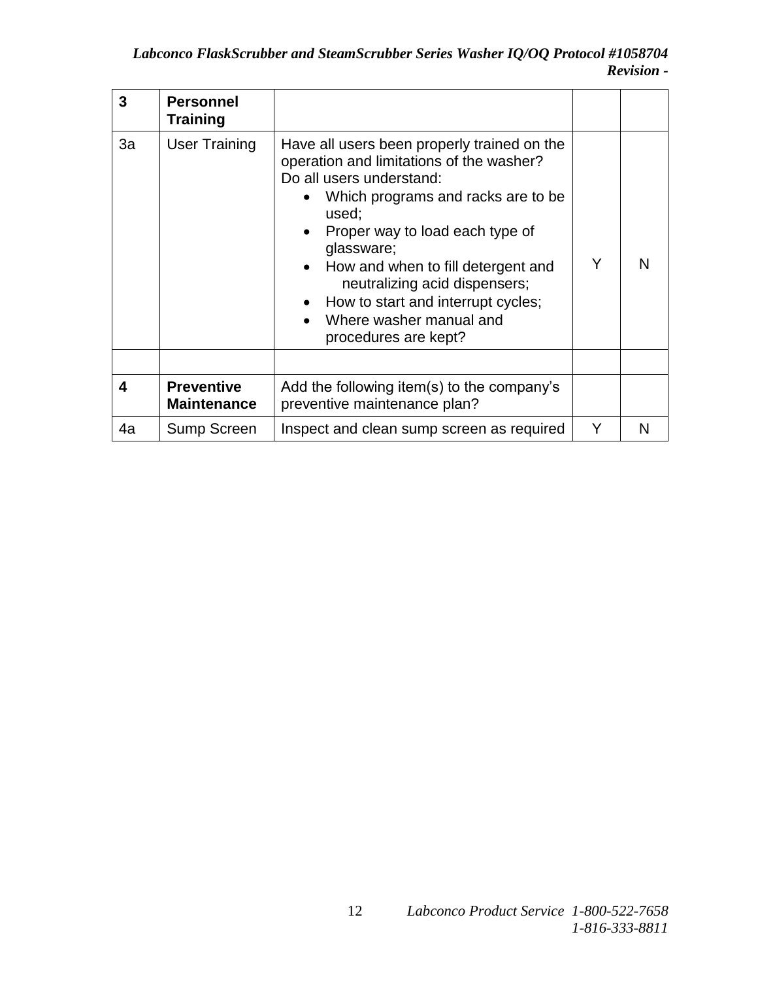| 3  | <b>Personnel</b><br>Training            |                                                                                                                                                                                                                                                                                                                                                                                     |   |   |
|----|-----------------------------------------|-------------------------------------------------------------------------------------------------------------------------------------------------------------------------------------------------------------------------------------------------------------------------------------------------------------------------------------------------------------------------------------|---|---|
| За | <b>User Training</b>                    | Have all users been properly trained on the<br>operation and limitations of the washer?<br>Do all users understand:<br>Which programs and racks are to be<br>used;<br>Proper way to load each type of<br>glassware;<br>How and when to fill detergent and<br>neutralizing acid dispensers;<br>How to start and interrupt cycles;<br>Where washer manual and<br>procedures are kept? | Y | N |
|    |                                         |                                                                                                                                                                                                                                                                                                                                                                                     |   |   |
| 4  | <b>Preventive</b><br><b>Maintenance</b> | Add the following item(s) to the company's<br>preventive maintenance plan?                                                                                                                                                                                                                                                                                                          |   |   |
| 4a | Sump Screen                             | Inspect and clean sump screen as required                                                                                                                                                                                                                                                                                                                                           | Υ | N |